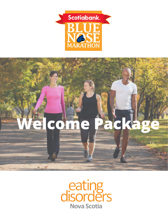

# **Welcome Package**

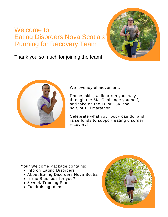## Welcome to Eating Disorders Nova Scotia's Running for Recovery Team



Thank you so much for joining the team!



We love joyful movement.

Dance, skip, walk or run your way through the 5K. Challenge yourself, and take on the 10 or 15K, the half, or full marathon.

Celebrate what your body can do, and raise funds to support eating disorder recovery!

Your Welcome Package contains:

- Info on Eating Disorders
- About Eating Disorders Nova Scotia
- Is the Bluenose for you?
- 8 week Training Plan
- Fundraising Ideas

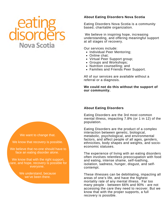## Nova Scotia

#### **About Eating Disorders Nova Scotia**

Eating Disorders Nova Scotia is a community based, charitable organization.

We believe in inspiring hope, increasing understanding, and offering meaningful support at all stages of recovery.

Our services include:

- Individual Peer Mentoring;
- Online chat:
- Virtual Peer Support group;
- Groups and Workshops;
- Nutrition counselling; and
- Families and Friends Peer Support.

All of our services are available without a referral or a diagnosis.

#### **We could not do this without the support of our community.**

#### **About Eating Disorders**

Eating Disorders are the 3rd most common mental illness, impacting 7.8% (or 1 in 12) of the population.

Eating Disorders are the product of a complex interaction between genetic, biological, metabolic, psychological, and environmental factors, and affect people of all ages, genders, ethnicities, body shapes and weights, and socioeconomic statuses.

The experience of living with an eating disorders often involves relentless preoccupation with food and eating, intense shame, self-loathing, isolation, sadness, hunger, disgust, and selfcontempt.

These illnesses can be debilitating, impacting all areas of one's life, and have the highest mortality rate of any mental illness. Far too many people - between 66% and 90% - are not accessing the care they need to recover. But we know that with the proper supports, a full recovery is possible.

We want to change that.

We know that recovery is possible.

We believe that no-one should have to face an eating disorder alone.

We know that with the right support, care, and hope, recovery is possible for everyone.

> We understand, because we've been there.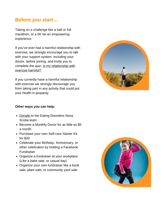## **Before you start…**

Taking on a challenge like a half or full marathon, or a 5K be an empowering experience.

If you've ever had a harmful relationship with exercise, we strongly encourage you to talk with your support system, including your doctor, before joining, and invite you to complete the quiz: Is my relationship with exercise harmful?

If you currently have a harmful relationship with exercise we strongly discourage you from taking part in any activity that could put your health in jeopardy.

#### **Other ways you can help:**

- Donate to the Eating Disorders Nova Scotia team
- Become a Monthly Donor for as little as \$5 a month
- Purchase your own Self-care Starter Kit for \$20
- Celebrate your Birthday, Anniversary, or other celebration by holding a Facebook Fundraiser
- Organize a fundraiser at your workplace (Like a bake sale, or casual day)
- Organize your own fundraiser like a book sale, plant sale, or community yard sale



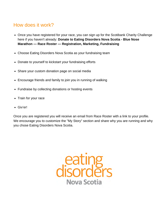## How does it work?

- Once you have registered for your race, you can sign up for the Scotibank Charity Challenge here if you haven't already: **Donate to Eating Disorders Nova Scotia - Blue Nose Marathon — Race Roster — Registration, Marketing, Fundraising**
- Choose Eating Disorders Nova Scotia as your fundraising team
- Donate to yourself to kickstart your fundraising efforts
- Share your custom donation page on social media
- Encourage friends and family to join you in running of walking
- Fundraise by collecting donations or hosting events
- Train for your race
- Giv'er!

Once you are registered you will receive an email from Race Roster with a link to your profile. We encourage you to customize the "My Story" section and share why you are running and why you chose Eating Disorders Nova Scotia.

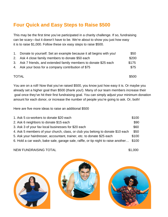## **Four Quick and Easy Steps to Raise \$500**

This may be the first time you've participated in a charity challenge. If so, fundraising can be scary—but it doesn't have to be. We're about to show you just how easy it is to raise \$1,000. Follow these six easy steps to raise \$500.

|              | 1. Donate to yourself. Set an example because it all begins with you! |       |
|--------------|-----------------------------------------------------------------------|-------|
|              | 2. Ask 4 close family members to donate \$50 each                     |       |
|              | 3. Ask 7 friends, and extended family members to donate \$25 each     | \$175 |
|              | 4. Ask your boss for a company contribution of \$75                   | \$75  |
|              |                                                                       |       |
| <b>TOTAL</b> |                                                                       | \$500 |

You are on a roll! Now that you've raised \$500, you know just how easy it is. Or maybe you already set a higher goal than \$500 (thank you!). Many of our team members increase their goal once they've hit their first fundraising goal. You can simply adjust your minimum donation amount for each donor, or increase the number of people you're going to ask. Or, both!

Here are five more ideas to raise an additional \$500

| 1. Ask 5 co-workers to donate \$20 each                                           | \$100 |
|-----------------------------------------------------------------------------------|-------|
| 2. Ask 6 neighbors to donate \$15 each                                            | \$90  |
| 3. Ask 3 of your fav local businesses for \$20 each                               | \$60  |
| 4. Ask 5 members of your church, class, or club you belong to donate \$10 each    | \$50  |
| 5. Ask your hairdresser, accountant, trainer, etc. to donate \$25 each            |       |
| 6. Hold a car wash, bake sale, garage sale, raffle, or tip night to raise another | \$100 |

NEW FUNDRAISING TOTAL \$1,000





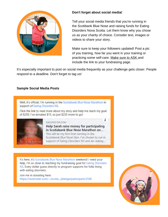

#### **Don't forget about social media!**

Tell your social media friends that you're running in the Scotibank Blue Nose and raising funds for Eating Disorders Nova Scotia. Let them know why you chose us as your charity of choice. Consider text, images or videos to share your story.

Make sure to keep your followers updated! Post a pic of you training, how far you went in your training or practicing some self-care. Make sure to ASK and include the link to your fundraising page.

It's especially important to post on social media frequently as your challenge gets closer. People respond to a deadline. Don't forget to tag us!

#### **Sample Social Media Posts**

on my first run



in Scotiabank Blue Nose Marathon on... This will be my first time running in the Scotiabank Blue Nose 5km. I've chosen to run in support of Eating Disorders NS and am asking...

It's here, it's Scotiabank Blue Nose Marathon weekend! I need your help, I'm so close to reaching my fundraising goal for Eating Disorders NS. Every dollar guess directly to program supports for folks living with eating disorders.

Join me in donating here: https://raceroster.com/.../scotia.../pledge/participant/2508

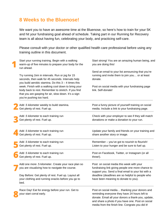## **8 Weeks to the Bluenose!**

We want you to have an awesome time at the Bluenose, so here's how to train for your 5K and hit your fundraising goal ahead of schedule. Taking part in our Running for Recovery team is all about having fun, celebrating your body, and practicing self-care.

Please consult with your doctor or other qualified health care professional before using any training outline in this document.

| Start your running training. Begin with a walking<br>warm-up of five minutes to prepare your body for the<br>run ahead.                                                                        | Start strong! You are an amazing human being, and<br>you are doing this!                                                                                                                                                                                      |
|------------------------------------------------------------------------------------------------------------------------------------------------------------------------------------------------|---------------------------------------------------------------------------------------------------------------------------------------------------------------------------------------------------------------------------------------------------------------|
| Try running 1km in intervals. Run or jog for 15<br>seconds, then walk for 45 seconds. Intervals help<br>you build aerobic stamina. Do this $3 - 4$ times this                                  | Send an email to your list announcing that you're<br>running and invite them to join you or at least<br>donate.                                                                                                                                               |
| week. Finish with a walking cool down to bring your<br>body back to rest. Remember to stretch. If you find<br>that you are gasping for air, slow down. It's a sign<br>you're pushing too hard. | Post on social media with your fundraising page<br>link. Self-donate!                                                                                                                                                                                         |
| Add .5 kilometer weekly to build stamina.<br>Get plenty of rest. Fuel up.                                                                                                                      | Post a funny picture of yourself training on social<br>media. Include a link to your fundraising page.                                                                                                                                                        |
| Add .5 kilometer to each training run<br>Get plenty of rest. Fuel up.                                                                                                                          | Check with your employer to see if they will match<br>donations or make a donation to your run.                                                                                                                                                               |
| Add .5 kilometer to each training run<br>Get plenty of rest. Fuel up.                                                                                                                          | Update your family and friends on your training and<br>share another story or image.                                                                                                                                                                          |
| Add .5 kilometer to each training run<br>Get plenty of rest. Fuel up.                                                                                                                          | Remember - you've got to nourish to flourish!<br>Listen to your hunger and be sure to fuel up.                                                                                                                                                                |
| Add .5 kilometer to each training run<br>Get plenty of rest. Fuel up.                                                                                                                          | Post on Facebook, Twitter, or Instagram (or all<br>three!).                                                                                                                                                                                                   |
| Add one more .5 kilometer. Create your race plan so<br>you are visualizing how to navigate the course.                                                                                         | Post on social media this week with your<br>fundraising link giving people one more chance to<br>support you. Send a final email to your list with a                                                                                                          |
| Day Before: Get plenty of rest. Fuel up. Layout all<br>your clothing and running snacks before you go to<br>bed.                                                                               | deadline (deadlines are so helpful to people who<br>have been meaning to donate to you).                                                                                                                                                                      |
| Race Day! Eat for energy before your run. Get to<br>your start corral early.                                                                                                                   | Post on social media thanking your donors and<br>reminding everyone they have 24 hours left to<br>donate. Email all your donors a thank-you, update,<br>and share a photo if you have one. Post on social<br>media from the finish line. Congrats you did it! |